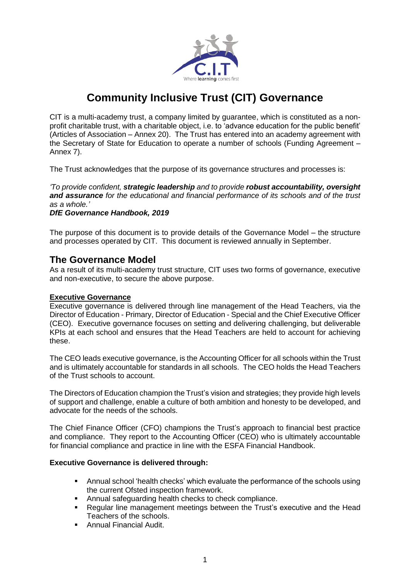

# **Community Inclusive Trust (CIT) Governance**

CIT is a multi-academy trust, a company limited by guarantee, which is constituted as a nonprofit charitable trust, with a charitable object, i.e. to 'advance education for the public benefit' (Articles of Association – Annex 20). The Trust has entered into an academy agreement with the Secretary of State for Education to operate a number of schools (Funding Agreement – Annex 7).

The Trust acknowledges that the purpose of its governance structures and processes is:

*'To provide confident, strategic leadership and to provide robust accountability, oversight and assurance for the educational and financial performance of its schools and of the trust as a whole.'*

*DfE Governance Handbook, 2019*

The purpose of this document is to provide details of the Governance Model – the structure and processes operated by CIT. This document is reviewed annually in September.

### **The Governance Model**

As a result of its multi-academy trust structure, CIT uses two forms of governance, executive and non-executive, to secure the above purpose.

### **Executive Governance**

Executive governance is delivered through line management of the Head Teachers, via the Director of Education - Primary, Director of Education - Special and the Chief Executive Officer (CEO). Executive governance focuses on setting and delivering challenging, but deliverable KPIs at each school and ensures that the Head Teachers are held to account for achieving these.

The CEO leads executive governance, is the Accounting Officer for all schools within the Trust and is ultimately accountable for standards in all schools. The CEO holds the Head Teachers of the Trust schools to account.

The Directors of Education champion the Trust's vision and strategies; they provide high levels of support and challenge, enable a culture of both ambition and honesty to be developed, and advocate for the needs of the schools.

The Chief Finance Officer (CFO) champions the Trust's approach to financial best practice and compliance. They report to the Accounting Officer (CEO) who is ultimately accountable for financial compliance and practice in line with the ESFA Financial Handbook.

### **Executive Governance is delivered through:**

- Annual school 'health checks' which evaluate the performance of the schools using the current Ofsted inspection framework.
- Annual safeguarding health checks to check compliance.
- Regular line management meetings between the Trust's executive and the Head Teachers of the schools.
- Annual Financial Audit.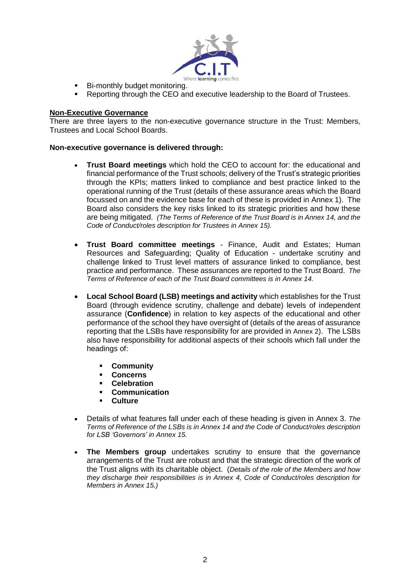

- **Bi-monthly budget monitoring.**
- Reporting through the CEO and executive leadership to the Board of Trustees.

#### **Non-Executive Governance**

There are three layers to the non-executive governance structure in the Trust: Members, Trustees and Local School Boards.

#### **Non-executive governance is delivered through:**

- **Trust Board meetings** which hold the CEO to account for: the educational and financial performance of the Trust schools; delivery of the Trust's strategic priorities through the KPIs; matters linked to compliance and best practice linked to the operational running of the Trust (details of these assurance areas which the Board focussed on and the evidence base for each of these is provided in Annex 1). The Board also considers the key risks linked to its strategic priorities and how these are being mitigated. *(The Terms of Reference of the Trust Board is in Annex 14, and the Code of Conduct/roles description for Trustees in Annex 15).*
- **Trust Board committee meetings** Finance, Audit and Estates; Human Resources and Safeguarding; Quality of Education - undertake scrutiny and challenge linked to Trust level matters of assurance linked to compliance, best practice and performance. These assurances are reported to the Trust Board. *The Terms of Reference of each of the Trust Board committees is in Annex 14.*
- **Local School Board (LSB) meetings and activity** which establishes for the Trust Board (through evidence scrutiny, challenge and debate) levels of independent assurance (**Confidence**) in relation to key aspects of the educational and other performance of the school they have oversight of (details of the areas of assurance reporting that the LSBs have responsibility for are provided in Annex 2). The LSBs also have responsibility for additional aspects of their schools which fall under the headings of:
	- **Community**
	- **Concerns**
	- **Celebration**
	- **Communication**
	- **Culture**
- Details of what features fall under each of these heading is given in Annex 3. *The Terms of Reference of the LSBs is in Annex 14 and the Code of Conduct/roles description for LSB 'Governors' in Annex 15.*
- **The Members group** undertakes scrutiny to ensure that the governance arrangements of the Trust are robust and that the strategic direction of the work of the Trust aligns with its charitable object. (*Details of the role of the Members and how they discharge their responsibilities is in Annex 4, Code of Conduct/roles description for Members in Annex 15.)*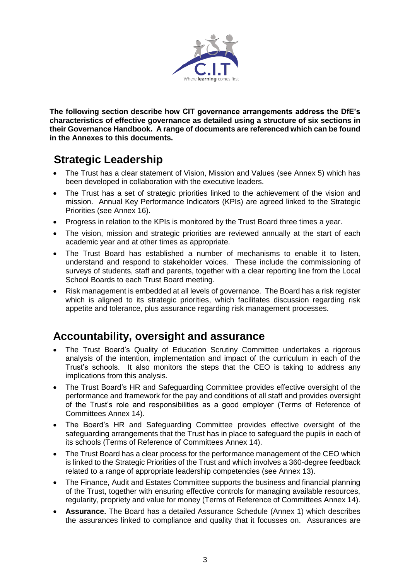

**The following section describe how CIT governance arrangements address the DfE's characteristics of effective governance as detailed using a structure of six sections in their Governance Handbook. A range of documents are referenced which can be found in the Annexes to this documents.**

# **Strategic Leadership**

- The Trust has a clear statement of Vision, Mission and Values (see Annex 5) which has been developed in collaboration with the executive leaders.
- The Trust has a set of strategic priorities linked to the achievement of the vision and mission. Annual Key Performance Indicators (KPIs) are agreed linked to the Strategic Priorities (see Annex 16).
- Progress in relation to the KPIs is monitored by the Trust Board three times a year.
- The vision, mission and strategic priorities are reviewed annually at the start of each academic year and at other times as appropriate.
- The Trust Board has established a number of mechanisms to enable it to listen, understand and respond to stakeholder voices. These include the commissioning of surveys of students, staff and parents, together with a clear reporting line from the Local School Boards to each Trust Board meeting.
- Risk management is embedded at all levels of governance. The Board has a risk register which is aligned to its strategic priorities, which facilitates discussion regarding risk appetite and tolerance, plus assurance regarding risk management processes.

### **Accountability, oversight and assurance**

- The Trust Board's Quality of Education Scrutiny Committee undertakes a rigorous analysis of the intention, implementation and impact of the curriculum in each of the Trust's schools. It also monitors the steps that the CEO is taking to address any implications from this analysis.
- The Trust Board's HR and Safeguarding Committee provides effective oversight of the performance and framework for the pay and conditions of all staff and provides oversight of the Trust's role and responsibilities as a good employer (Terms of Reference of Committees Annex 14).
- The Board's HR and Safeguarding Committee provides effective oversight of the safeguarding arrangements that the Trust has in place to safeguard the pupils in each of its schools (Terms of Reference of Committees Annex 14).
- The Trust Board has a clear process for the performance management of the CEO which is linked to the Strategic Priorities of the Trust and which involves a 360-degree feedback related to a range of appropriate leadership competencies (see Annex 13).
- The Finance, Audit and Estates Committee supports the business and financial planning of the Trust, together with ensuring effective controls for managing available resources, regularity, propriety and value for money (Terms of Reference of Committees Annex 14).
- **Assurance.** The Board has a detailed Assurance Schedule (Annex 1) which describes the assurances linked to compliance and quality that it focusses on. Assurances are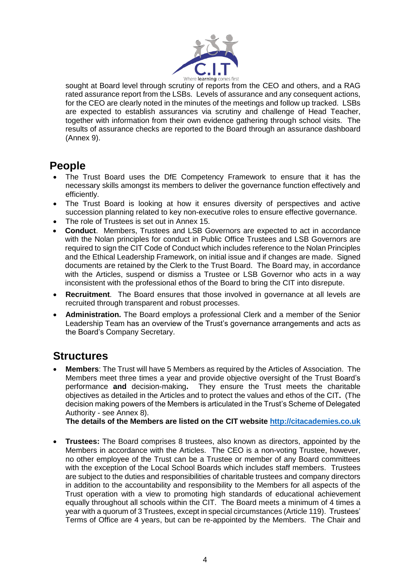

sought at Board level through scrutiny of reports from the CEO and others, and a RAG rated assurance report from the LSBs. Levels of assurance and any consequent actions, for the CEO are clearly noted in the minutes of the meetings and follow up tracked. LSBs are expected to establish assurances via scrutiny and challenge of Head Teacher, together with information from their own evidence gathering through school visits. The results of assurance checks are reported to the Board through an assurance dashboard (Annex 9).

## **People**

- The Trust Board uses the DfE Competency Framework to ensure that it has the necessary skills amongst its members to deliver the governance function effectively and efficiently.
- The Trust Board is looking at how it ensures diversity of perspectives and active succession planning related to key non-executive roles to ensure effective governance.
- The role of Trustees is set out in Annex 15.
- **Conduct**. Members, Trustees and LSB Governors are expected to act in accordance with the Nolan principles for conduct in Public Office Trustees and LSB Governors are required to sign the CIT Code of Conduct which includes reference to the Nolan Principles and the Ethical Leadership Framework, on initial issue and if changes are made. Signed documents are retained by the Clerk to the Trust Board. The Board may, in accordance with the Articles, suspend or dismiss a Trustee or LSB Governor who acts in a way inconsistent with the professional ethos of the Board to bring the CIT into disrepute.
- **Recruitment**. The Board ensures that those involved in governance at all levels are recruited through transparent and robust processes.
- **Administration.** The Board employs a professional Clerk and a member of the Senior Leadership Team has an overview of the Trust's governance arrangements and acts as the Board's Company Secretary.

### **Structures**

 **Members**: The Trust will have 5 Members as required by the Articles of Association. The Members meet three times a year and provide objective oversight of the Trust Board's performance **and** decision-making**.** They ensure the Trust meets the charitable objectives as detailed in the Articles and to protect the values and ethos of the CIT**.** (The decision making powers of the Members is articulated in the Trust's Scheme of Delegated Authority - see Annex 8).

 **The details of the Members are listed on the CIT website [http://citacademies.co.uk](http://citacademies.co.uk/)**

 **Trustees:** The Board comprises 8 trustees, also known as directors, appointed by the Members in accordance with the Articles. The CEO is a non-voting Trustee, however, no other employee of the Trust can be a Trustee or member of any Board committees with the exception of the Local School Boards which includes staff members. Trustees are subject to the duties and responsibilities of charitable trustees and company directors in addition to the accountability and responsibility to the Members for all aspects of the Trust operation with a view to promoting high standards of educational achievement equally throughout all schools within the CIT. The Board meets a minimum of 4 times a year with a quorum of 3 Trustees, except in special circumstances (Article 119). Trustees' Terms of Office are 4 years, but can be re-appointed by the Members. The Chair and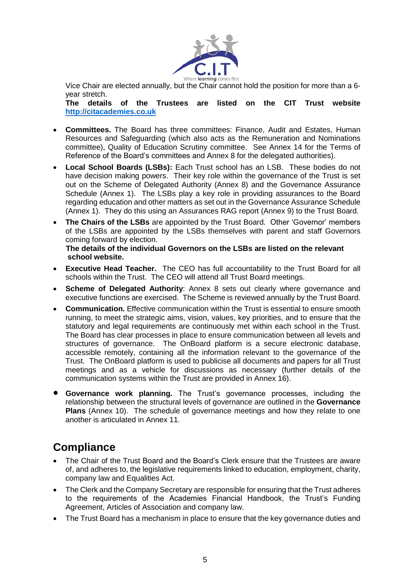

Vice Chair are elected annually, but the Chair cannot hold the position for more than a 6 year stretch.

**The details of the Trustees are listed on the CIT Trust website [http://citacademies.co.uk](http://citacademies.co.uk/)**

- **Committees.** The Board has three committees: Finance, Audit and Estates, Human Resources and Safeguarding (which also acts as the Remuneration and Nominations committee), Quality of Education Scrutiny committee. See Annex 14 for the Terms of Reference of the Board's committees and Annex 8 for the delegated authorities).
- **Local School Boards (LSBs):** Each Trust school has an LSB. These bodies do not have decision making powers. Their key role within the governance of the Trust is set out on the Scheme of Delegated Authority (Annex 8) and the Governance Assurance Schedule (Annex 1). The LSBs play a key role in providing assurances to the Board regarding education and other matters as set out in the Governance Assurance Schedule (Annex 1). They do this using an Assurances RAG report (Annex 9) to the Trust Board.
- **The Chairs of the LSBs** are appointed by the Trust Board. Other 'Governor' members of the LSBs are appointed by the LSBs themselves with parent and staff Governors coming forward by election.  **The details of the individual Governors on the LSBs are listed on the relevant**

# **school website.**

- **Executive Head Teacher.** The CEO has full accountability to the Trust Board for all schools within the Trust. The CEO will attend all Trust Board meetings.
- **Scheme of Delegated Authority:** Annex 8 sets out clearly where governance and executive functions are exercised. The Scheme is reviewed annually by the Trust Board.
- **Communication.** Effective communication within the Trust is essential to ensure smooth running, to meet the strategic aims, vision, values, key priorities, and to ensure that the statutory and legal requirements are continuously met within each school in the Trust. The Board has clear processes in place to ensure communication between all levels and structures of governance. The OnBoard platform is a secure electronic database, accessible remotely, containing all the information relevant to the governance of the Trust. The OnBoard platform is used to publicise all documents and papers for all Trust meetings and as a vehicle for discussions as necessary (further details of the communication systems within the Trust are provided in Annex 16).
- **Governance work planning.** The Trust's governance processes, including the relationship between the structural levels of governance are outlined in the **Governance Plans** (Annex 10). The schedule of governance meetings and how they relate to one another is articulated in Annex 11.

# **Compliance**

- The Chair of the Trust Board and the Board's Clerk ensure that the Trustees are aware of, and adheres to, the legislative requirements linked to education, employment, charity, company law and Equalities Act.
- The Clerk and the Company Secretary are responsible for ensuring that the Trust adheres to the requirements of the Academies Financial Handbook, the Trust's Funding Agreement, Articles of Association and company law.
- The Trust Board has a mechanism in place to ensure that the key governance duties and